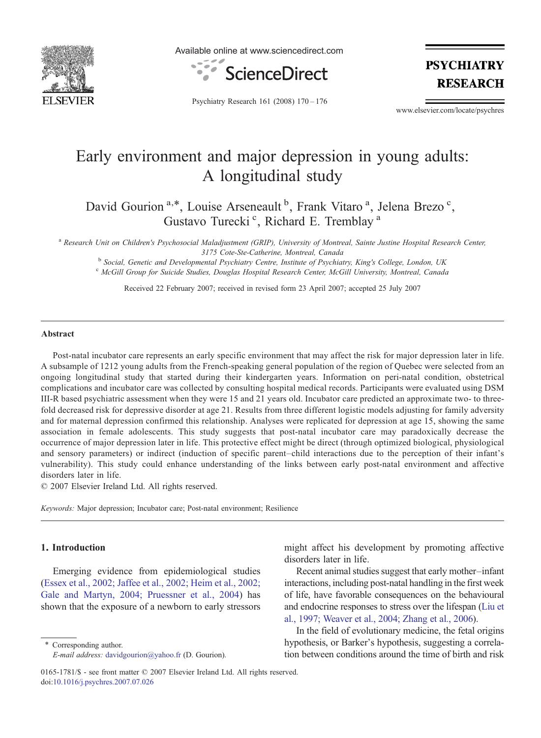

Available online at www.sciencedirect.com



**PSYCHIATRY RESEARCH** 

Psychiatry Research 161 (2008) 170–176

www.elsevier.com/locate/psychres

# Early environment and major depression in young adults: A longitudinal study

David Gourion<sup>a,\*</sup>, Louise Arseneault<sup>b</sup>, Frank Vitaro<sup>a</sup>, Jelena Brezo<sup>c</sup>, Gustavo Turecki<sup>c</sup>, Richard E. Tremblay<sup>a</sup>

a Research Unit on Children's Psychosocial Maladjustment (GRIP), University of Montreal, Sainte Justine Hospital Research Center,

3175 Cote-Ste-Catherine, Montreal, Canada<br><sup>b</sup> Social, Genetic and Developmental Psychiatry Centre, Institute of Psychiatry, King's College, London, UK<br><sup>c</sup> McGill Group for Suicide Studies, Douglas Hospital Research Center,

Received 22 February 2007; received in revised form 23 April 2007; accepted 25 July 2007

#### Abstract

Post-natal incubator care represents an early specific environment that may affect the risk for major depression later in life. A subsample of 1212 young adults from the French-speaking general population of the region of Quebec were selected from an ongoing longitudinal study that started during their kindergarten years. Information on peri-natal condition, obstetrical complications and incubator care was collected by consulting hospital medical records. Participants were evaluated using DSM III-R based psychiatric assessment when they were 15 and 21 years old. Incubator care predicted an approximate two- to threefold decreased risk for depressive disorder at age 21. Results from three different logistic models adjusting for family adversity and for maternal depression confirmed this relationship. Analyses were replicated for depression at age 15, showing the same association in female adolescents. This study suggests that post-natal incubator care may paradoxically decrease the occurrence of major depression later in life. This protective effect might be direct (through optimized biological, physiological and sensory parameters) or indirect (induction of specific parent–child interactions due to the perception of their infant's vulnerability). This study could enhance understanding of the links between early post-natal environment and affective disorders later in life.

© 2007 Elsevier Ireland Ltd. All rights reserved.

Keywords: Major depression; Incubator care; Post-natal environment; Resilience

# 1. Introduction

Emerging evidence from epidemiological studies [\(Essex et al., 2002; Jaffee et al., 2002; Heim et al., 2002;](#page-5-0) [Gale and Martyn, 2004; Pruessner et al., 2004\)](#page-5-0) has shown that the exposure of a newborn to early stressors

⁎ Corresponding author. E-mail address: [davidgourion@yahoo.fr](mailto:davidgourion@yahoo.fr) (D. Gourion). might affect his development by promoting affective disorders later in life.

Recent animal studies suggest that early mother–infant interactions, including post-natal handling in the first week of life, have favorable consequences on the behavioural and endocrine responses to stress over the lifespan ([Liu et](#page-5-0) [al., 1997; Weaver et al., 2004; Zhang et al., 2006](#page-5-0)).

In the field of evolutionary medicine, the fetal origins hypothesis, or Barker's hypothesis, suggesting a correlation between conditions around the time of birth and risk

<sup>0165-1781/\$ -</sup> see front matter © 2007 Elsevier Ireland Ltd. All rights reserved. doi[:10.1016/j.psychres.2007.07.026](http://dx.doi.org/10.1016/j.psychres.2007.07.026)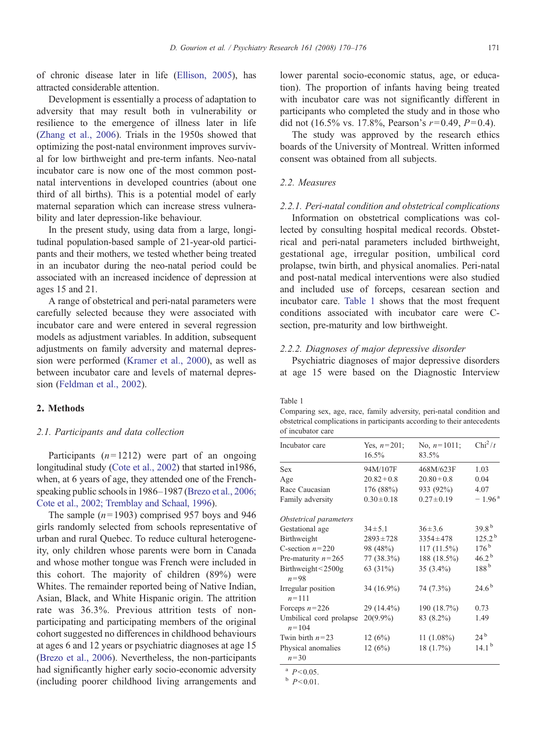<span id="page-1-0"></span>of chronic disease later in life [\(Ellison, 2005](#page-5-0)), has attracted considerable attention.

Development is essentially a process of adaptation to adversity that may result both in vulnerability or resilience to the emergence of illness later in life [\(Zhang et al., 2006\)](#page-6-0). Trials in the 1950s showed that optimizing the post-natal environment improves survival for low birthweight and pre-term infants. Neo-natal incubator care is now one of the most common postnatal interventions in developed countries (about one third of all births). This is a potential model of early maternal separation which can increase stress vulnerability and later depression-like behaviour.

In the present study, using data from a large, longitudinal population-based sample of 21-year-old participants and their mothers, we tested whether being treated in an incubator during the neo-natal period could be associated with an increased incidence of depression at ages 15 and 21.

A range of obstetrical and peri-natal parameters were carefully selected because they were associated with incubator care and were entered in several regression models as adjustment variables. In addition, subsequent adjustments on family adversity and maternal depression were performed ([Kramer et al., 2000\)](#page-5-0), as well as between incubator care and levels of maternal depression ([Feldman et al., 2002](#page-5-0)).

#### 2. Methods

#### 2.1. Participants and data collection

Participants  $(n=1212)$  were part of an ongoing longitudinal study ([Cote et al., 2002](#page-5-0)) that started in1986, when, at 6 years of age, they attended one of the Frenchspeaking public schools in 1986–1987 ([Brezo et al., 2006;](#page-5-0) [Cote et al., 2002; Tremblay and Schaal, 1996\)](#page-5-0).

The sample  $(n=1903)$  comprised 957 boys and 946 girls randomly selected from schools representative of urban and rural Quebec. To reduce cultural heterogeneity, only children whose parents were born in Canada and whose mother tongue was French were included in this cohort. The majority of children (89%) were Whites. The remainder reported being of Native Indian, Asian, Black, and White Hispanic origin. The attrition rate was 36.3%. Previous attrition tests of nonparticipating and participating members of the original cohort suggested no differences in childhood behaviours at ages 6 and 12 years or psychiatric diagnoses at age 15 [\(Brezo et al., 2006\)](#page-5-0). Nevertheless, the non-participants had significantly higher early socio-economic adversity (including poorer childhood living arrangements and

lower parental socio-economic status, age, or education). The proportion of infants having being treated with incubator care was not significantly different in participants who completed the study and in those who did not (16.5% vs. 17.8%, Pearson's  $r=0.49$ ,  $P=0.4$ ).

The study was approved by the research ethics boards of the University of Montreal. Written informed consent was obtained from all subjects.

### 2.2. Measures

#### 2.2.1. Peri-natal condition and obstetrical complications

Information on obstetrical complications was collected by consulting hospital medical records. Obstetrical and peri-natal parameters included birthweight, gestational age, irregular position, umbilical cord prolapse, twin birth, and physical anomalies. Peri-natal and post-natal medical interventions were also studied and included use of forceps, cesarean section and incubator care. Table 1 shows that the most frequent conditions associated with incubator care were Csection, pre-maturity and low birthweight.

#### 2.2.2. Diagnoses of major depressive disorder

Psychiatric diagnoses of major depressive disorders at age 15 were based on the Diagnostic Interview

#### Table 1

Comparing sex, age, race, family adversity, peri-natal condition and obstetrical complications in participants according to their antecedents of incubator care

| Incubator care                       | Yes, $n=201$ ;<br>$16.5\%$ | No. $n=1011$ ;<br>83.5% | $Chi^2/t$            |
|--------------------------------------|----------------------------|-------------------------|----------------------|
|                                      |                            |                         |                      |
| <b>Sex</b>                           | 94M/107F                   | 468M/623F               | 1.03                 |
| Age                                  | $20.82 + 0.8$              | $20.80 + 0.8$           | 0.04                 |
| Race Caucasian                       | 176 (88%)                  | 933 (92%)               | 4.07                 |
| Family adversity                     | $0.30 \pm 0.18$            | $0.27 \pm 0.19$         | $-1.96^{\circ}$      |
| Obstetrical parameters               |                            |                         |                      |
| Gestational age                      | $34 \pm 5.1$               | $36 \pm 3.6$            | $39.8^{b}$           |
| Birthweight                          | $2893 \pm 728$             | $3354 \pm 478$          | $125.2^{\mathrm{b}}$ |
| C-section $n=220$                    | 98 (48%)                   | 117 (11.5%)             | $176^{\rm b}$        |
| Pre-maturity $n=265$                 | $77(38.3\%)$               | 188 (18.5%)             | $46.2^{\mathrm{b}}$  |
| Birthweight <2500g<br>$n = 98$       | 63 (31%)                   | 35 $(3.4\%)$            | 188 <sup>b</sup>     |
| Irregular position<br>$n = 111$      | 34 (16.9%)                 | 74 (7.3%)               | $24.6^{b}$           |
| Forceps $n=226$                      | 29 (14.4%)                 | 190 (18.7%)             | 0.73                 |
| Umbilical cord prolapse<br>$n = 104$ | $20(9.9\%)$                | 83 (8.2%)               | 1.49                 |
| Twin birth $n=23$                    | 12(6%)                     | $11(1.08\%)$            | $24^{b}$             |
| Physical anomalies<br>$n = 30$       | 12(6%)                     | 18 (1.7%)               | $14.1^{b}$           |

 $^{\rm a}$  P < 0.05.

 $b$   $P<0.01$ .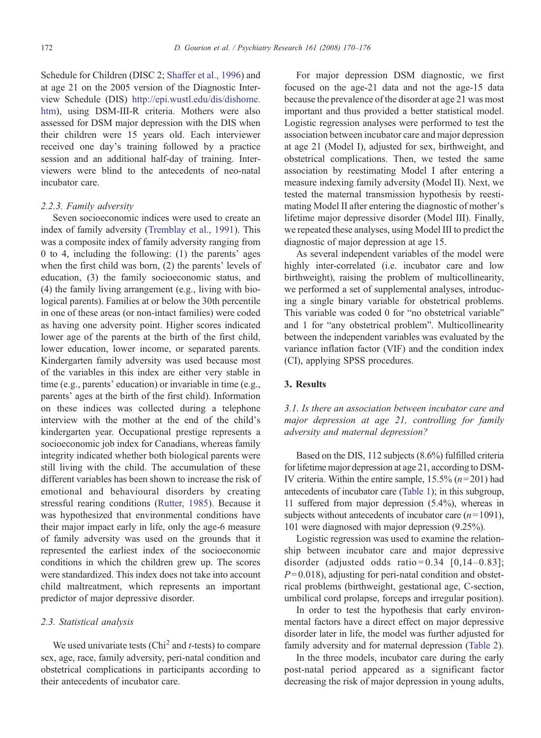Schedule for Children (DISC 2; [Shaffer et al., 1996\)](#page-5-0) and at age 21 on the 2005 version of the Diagnostic Interview Schedule (DIS) http://epi.wustl.edu/dis/dishome. htm), using DSM-III-R criteria. Mothers were also assessed for DSM major depression with the DIS when their children were 15 years old. Each interviewer received one day's training followed by a practice session and an additional half-day of training. Interviewers were blind to the antecedents of neo-natal incubator care.

# 2.2.3. Family adversity

Seven socioeconomic indices were used to create an index of family adversity [\(Tremblay et al., 1991\)](#page-5-0). This was a composite index of family adversity ranging from 0 to 4, including the following: (1) the parents' ages when the first child was born, (2) the parents' levels of education, (3) the family socioeconomic status, and (4) the family living arrangement (e.g., living with biological parents). Families at or below the 30th percentile in one of these areas (or non-intact families) were coded as having one adversity point. Higher scores indicated lower age of the parents at the birth of the first child, lower education, lower income, or separated parents. Kindergarten family adversity was used because most of the variables in this index are either very stable in time (e.g., parents' education) or invariable in time (e.g., parents' ages at the birth of the first child). Information on these indices was collected during a telephone interview with the mother at the end of the child's kindergarten year. Occupational prestige represents a socioeconomic job index for Canadians, whereas family integrity indicated whether both biological parents were still living with the child. The accumulation of these different variables has been shown to increase the risk of emotional and behavioural disorders by creating stressful rearing conditions ([Rutter, 1985\)](#page-5-0). Because it was hypothesized that environmental conditions have their major impact early in life, only the age-6 measure of family adversity was used on the grounds that it represented the earliest index of the socioeconomic conditions in which the children grew up. The scores were standardized. This index does not take into account child maltreatment, which represents an important predictor of major depressive disorder.

## 2.3. Statistical analysis

We used univariate tests  $(Chi<sup>2</sup> and t-tests)$  to compare sex, age, race, family adversity, peri-natal condition and obstetrical complications in participants according to their antecedents of incubator care.

For major depression DSM diagnostic, we first focused on the age-21 data and not the age-15 data because the prevalence of the disorder at age 21 was most important and thus provided a better statistical model. Logistic regression analyses were performed to test the association between incubator care and major depression at age 21 (Model I), adjusted for sex, birthweight, and obstetrical complications. Then, we tested the same association by reestimating Model I after entering a measure indexing family adversity (Model II). Next, we tested the maternal transmission hypothesis by reestimating Model II after entering the diagnostic of mother's lifetime major depressive disorder (Model III). Finally, we repeated these analyses, using Model III to predict the diagnostic of major depression at age 15.

As several independent variables of the model were highly inter-correlated (i.e. incubator care and low birthweight), raising the problem of multicollinearity, we performed a set of supplemental analyses, introducing a single binary variable for obstetrical problems. This variable was coded 0 for "no obstetrical variable" and 1 for "any obstetrical problem". Multicollinearity between the independent variables was evaluated by the variance inflation factor (VIF) and the condition index (CI), applying SPSS procedures.

## 3. Results

# 3.1. Is there an association between incubator care and major depression at age 21, controlling for family adversity and maternal depression?

Based on the DIS, 112 subjects (8.6%) fulfilled criteria for lifetime major depression at age 21, according to DSM-IV criteria. Within the entire sample,  $15.5\%$  ( $n=201$ ) had antecedents of incubator care [\(Table 1\)](#page-1-0); in this subgroup, 11 suffered from major depression (5.4%), whereas in subjects without antecedents of incubator care  $(n=1091)$ , 101 were diagnosed with major depression (9.25%).

Logistic regression was used to examine the relationship between incubator care and major depressive disorder (adjusted odds ratio =  $0.34$  [0,14-0.83];  $P = 0.018$ ), adjusting for peri-natal condition and obstetrical problems (birthweight, gestational age, C-section, umbilical cord prolapse, forceps and irregular position).

In order to test the hypothesis that early environmental factors have a direct effect on major depressive disorder later in life, the model was further adjusted for family adversity and for maternal depression ([Table 2\)](#page-3-0).

In the three models, incubator care during the early post-natal period appeared as a significant factor decreasing the risk of major depression in young adults,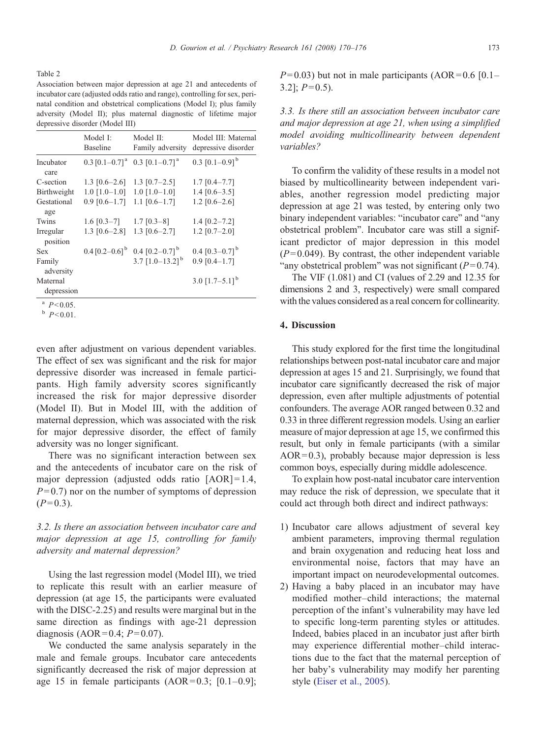<span id="page-3-0"></span>Table 2

Association between major depression at age 21 and antecedents of incubator care (adjusted odds ratio and range), controlling for sex, perinatal condition and obstetrical complications (Model I); plus family adversity (Model II); plus maternal diagnostic of lifetime major depressive disorder (Model III)

| Model I:<br><b>Baseline</b> | Model II:<br>Family adversity | Model III: Maternal<br>depressive disorder                                                                                                                                                |
|-----------------------------|-------------------------------|-------------------------------------------------------------------------------------------------------------------------------------------------------------------------------------------|
|                             |                               | 0.3 $[0.1-0.9]$ <sup>b</sup>                                                                                                                                                              |
|                             |                               | $1.7$ [0.4-7.7]                                                                                                                                                                           |
|                             | $1.0$ [1.0-1.0]               | $1.4$ [0.6-3.5]                                                                                                                                                                           |
| $0.9$ [0.6-1.7]             | $1.1$ [0.6-1.7]               | $1.2$ [0.6-2.6]                                                                                                                                                                           |
| 1.6 $[0.3-7]$               | $1.7$ [0.3-8]                 | $1.4$ [0.2-7.2]                                                                                                                                                                           |
|                             | $1.3$ [0.6-2.7]               | $1.2$ [0.7-2.0]                                                                                                                                                                           |
|                             |                               | 0.4 $[0.3-0.7]$ <sup>b</sup>                                                                                                                                                              |
|                             | 3.7 $[1.0-13.2]$ <sup>b</sup> | $0.9$ [0.4-1.7]                                                                                                                                                                           |
|                             |                               | 3.0 $[1.7-5.1]$ <sup>b</sup>                                                                                                                                                              |
|                             |                               | $0.3$ [0.1-0.7] <sup>a</sup> 0.3 [0.1-0.7] <sup>a</sup><br>$1.3$ [0.6-2.6] 1.3 [0.7-2.5]<br>$1.0$ [1.0-1.0]<br>1.3 $[0.6-2.8]$<br>$0.4$ [0.2–0.6] <sup>b</sup> 0.4 [0.2–0.7] <sup>b</sup> |

 $\overset{a}{\phantom{1}}p<0.05.$ <br>  $\overset{b}{\phantom{1}}p<0.01.$ 

even after adjustment on various dependent variables. The effect of sex was significant and the risk for major depressive disorder was increased in female participants. High family adversity scores significantly increased the risk for major depressive disorder (Model II). But in Model III, with the addition of maternal depression, which was associated with the risk for major depressive disorder, the effect of family adversity was no longer significant.

There was no significant interaction between sex and the antecedents of incubator care on the risk of major depression (adjusted odds ratio  $[AOR] = 1.4$ ,  $P= 0.7$ ) nor on the number of symptoms of depression  $(P= 0.3)$ .

# 3.2. Is there an association between incubator care and major depression at age 15, controlling for family adversity and maternal depression?

Using the last regression model (Model III), we tried to replicate this result with an earlier measure of depression (at age 15, the participants were evaluated with the DISC-2.25) and results were marginal but in the same direction as findings with age-21 depression diagnosis (AOR =  $0.4$ ;  $P = 0.07$ ).

We conducted the same analysis separately in the male and female groups. Incubator care antecedents significantly decreased the risk of major depression at age 15 in female participants  $(AOR=0.3; [0.1-0.9];$   $P= 0.03$ ) but not in male participants (AOR = 0.6 [0.1–  $3.2$ ;  $P = 0.5$ ).

3.3. Is there still an association between incubator care and major depression at age 21, when using a simplified model avoiding multicollinearity between dependent variables?

To confirm the validity of these results in a model not biased by multicollinearity between independent variables, another regression model predicting major depression at age 21 was tested, by entering only two binary independent variables: "incubator care" and "any obstetrical problem". Incubator care was still a significant predictor of major depression in this model  $(P= 0.049)$ . By contrast, the other independent variable "any obstetrical problem" was not significant  $(P= 0.74)$ .

The VIF (1.081) and CI (values of 2.29 and 12.35 for dimensions 2 and 3, respectively) were small compared with the values considered as a real concern for collinearity.

## 4. Discussion

This study explored for the first time the longitudinal relationships between post-natal incubator care and major depression at ages 15 and 21. Surprisingly, we found that incubator care significantly decreased the risk of major depression, even after multiple adjustments of potential confounders. The average AOR ranged between 0.32 and 0.33 in three different regression models. Using an earlier measure of major depression at age 15, we confirmed this result, but only in female participants (with a similar  $AOR = 0.3$ ), probably because major depression is less common boys, especially during middle adolescence.

To explain how post-natal incubator care intervention may reduce the risk of depression, we speculate that it could act through both direct and indirect pathways:

- 1) Incubator care allows adjustment of several key ambient parameters, improving thermal regulation and brain oxygenation and reducing heat loss and environmental noise, factors that may have an important impact on neurodevelopmental outcomes.
- 2) Having a baby placed in an incubator may have modified mother–child interactions; the maternal perception of the infant's vulnerability may have led to specific long-term parenting styles or attitudes. Indeed, babies placed in an incubator just after birth may experience differential mother–child interactions due to the fact that the maternal perception of her baby's vulnerability may modify her parenting style ([Eiser et al., 2005](#page-5-0)).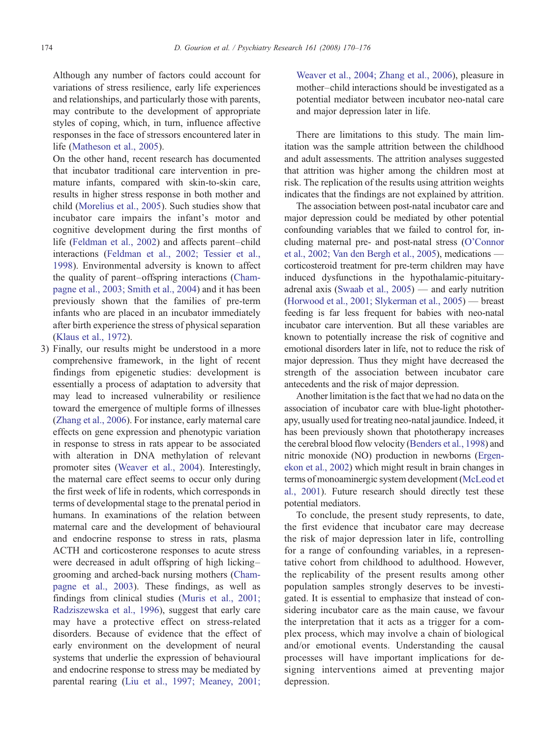Although any number of factors could account for variations of stress resilience, early life experiences and relationships, and particularly those with parents, may contribute to the development of appropriate styles of coping, which, in turn, influence affective responses in the face of stressors encountered later in life ([Matheson et al., 2005\)](#page-5-0).

On the other hand, recent research has documented that incubator traditional care intervention in premature infants, compared with skin-to-skin care, results in higher stress response in both mother and child [\(Morelius et al., 2005](#page-5-0)). Such studies show that incubator care impairs the infant's motor and cognitive development during the first months of life [\(Feldman et al., 2002\)](#page-5-0) and affects parent–child interactions ([Feldman et al., 2002; Tessier et al.,](#page-5-0) [1998](#page-5-0)). Environmental adversity is known to affect the quality of parent–offspring interactions [\(Cham](#page-5-0)[pagne et al., 2003; Smith et al., 2004](#page-5-0)) and it has been previously shown that the families of pre-term infants who are placed in an incubator immediately after birth experience the stress of physical separation ([Klaus et al., 1972\)](#page-5-0).

3) Finally, our results might be understood in a more comprehensive framework, in the light of recent findings from epigenetic studies: development is essentially a process of adaptation to adversity that may lead to increased vulnerability or resilience toward the emergence of multiple forms of illnesses ([Zhang et al., 2006](#page-6-0)). For instance, early maternal care effects on gene expression and phenotypic variation in response to stress in rats appear to be associated with alteration in DNA methylation of relevant promoter sites ([Weaver et al., 2004\)](#page-6-0). Interestingly, the maternal care effect seems to occur only during the first week of life in rodents, which corresponds in terms of developmental stage to the prenatal period in humans. In examinations of the relation between maternal care and the development of behavioural and endocrine response to stress in rats, plasma ACTH and corticosterone responses to acute stress were decreased in adult offspring of high licking– grooming and arched-back nursing mothers [\(Cham](#page-5-0)[pagne et al., 2003](#page-5-0)). These findings, as well as findings from clinical studies [\(Muris et al., 2001;](#page-5-0) [Radziszewska et al., 1996](#page-5-0)), suggest that early care may have a protective effect on stress-related disorders. Because of evidence that the effect of early environment on the development of neural systems that underlie the expression of behavioural and endocrine response to stress may be mediated by parental rearing ([Liu et al., 1997; Meaney, 2001;](#page-5-0)

[Weaver et al., 2004; Zhang et al., 2006](#page-5-0)), pleasure in mother–child interactions should be investigated as a potential mediator between incubator neo-natal care and major depression later in life.

There are limitations to this study. The main limitation was the sample attrition between the childhood and adult assessments. The attrition analyses suggested that attrition was higher among the children most at risk. The replication of the results using attrition weights indicates that the findings are not explained by attrition.

The association between post-natal incubator care and major depression could be mediated by other potential confounding variables that we failed to control for, including maternal pre- and post-natal stress ([O'Connor](#page-5-0) [et al., 2002; Van den Bergh et al., 2005](#page-5-0)), medications corticosteroid treatment for pre-term children may have induced dysfunctions in the hypothalamic-pituitaryadrenal axis ([Swaab et al., 2005\)](#page-5-0) — and early nutrition [\(Horwood et al., 2001; Slykerman et al., 2005\)](#page-5-0) — breast feeding is far less frequent for babies with neo-natal incubator care intervention. But all these variables are known to potentially increase the risk of cognitive and emotional disorders later in life, not to reduce the risk of major depression. Thus they might have decreased the strength of the association between incubator care antecedents and the risk of major depression.

Another limitation is the fact that we had no data on the association of incubator care with blue-light phototherapy, usually used for treating neo-natal jaundice. Indeed, it has been previously shown that phototherapy increases the cerebral blood flow velocity ([Benders et al., 1998](#page-5-0)) and nitric monoxide (NO) production in newborns [\(Ergen](#page-5-0)[ekon et al., 2002](#page-5-0)) which might result in brain changes in terms of monoaminergic system development ([McLeod et](#page-5-0) [al., 2001](#page-5-0)). Future research should directly test these potential mediators.

To conclude, the present study represents, to date, the first evidence that incubator care may decrease the risk of major depression later in life, controlling for a range of confounding variables, in a representative cohort from childhood to adulthood. However, the replicability of the present results among other population samples strongly deserves to be investigated. It is essential to emphasize that instead of considering incubator care as the main cause, we favour the interpretation that it acts as a trigger for a complex process, which may involve a chain of biological and/or emotional events. Understanding the causal processes will have important implications for designing interventions aimed at preventing major depression.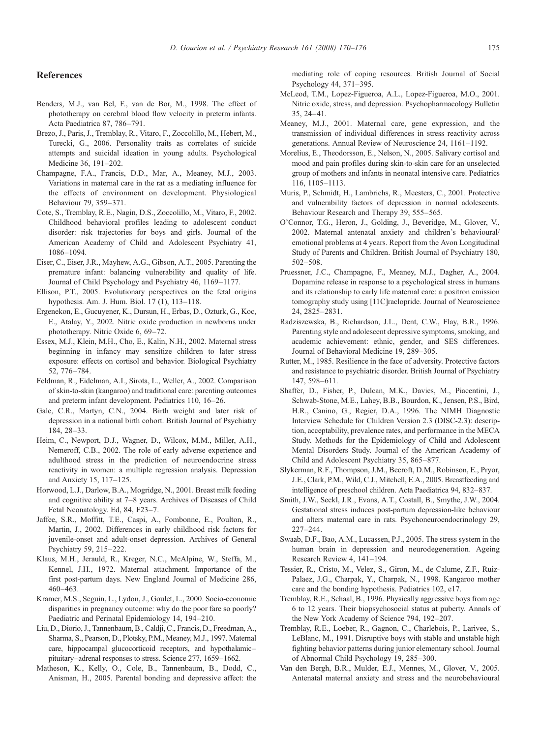#### <span id="page-5-0"></span>References

- Benders, M.J., van Bel, F., van de Bor, M., 1998. The effect of phototherapy on cerebral blood flow velocity in preterm infants. Acta Paediatrica 87, 786–791.
- Brezo, J., Paris, J., Tremblay, R., Vitaro, F., Zoccolillo, M., Hebert, M., Turecki, G., 2006. Personality traits as correlates of suicide attempts and suicidal ideation in young adults. Psychological Medicine 36, 191–202.
- Champagne, F.A., Francis, D.D., Mar, A., Meaney, M.J., 2003. Variations in maternal care in the rat as a mediating influence for the effects of environment on development. Physiological Behaviour 79, 359–371.
- Cote, S., Tremblay, R.E., Nagin, D.S., Zoccolillo, M., Vitaro, F., 2002. Childhood behavioral profiles leading to adolescent conduct disorder: risk trajectories for boys and girls. Journal of the American Academy of Child and Adolescent Psychiatry 41, 1086–1094.
- Eiser, C., Eiser, J.R., Mayhew, A.G., Gibson, A.T., 2005. Parenting the premature infant: balancing vulnerability and quality of life. Journal of Child Psychology and Psychiatry 46, 1169–1177.
- Ellison, P.T., 2005. Evolutionary perspectives on the fetal origins hypothesis. Am. J. Hum. Biol. 17 (1), 113–118.
- Ergenekon, E., Gucuyener, K., Dursun, H., Erbas, D., Ozturk, G., Koc, E., Atalay, Y., 2002. Nitric oxide production in newborns under phototherapy. Nitric Oxide 6, 69–72.
- Essex, M.J., Klein, M.H., Cho, E., Kalin, N.H., 2002. Maternal stress beginning in infancy may sensitize children to later stress exposure: effects on cortisol and behavior. Biological Psychiatry 52, 776–784.
- Feldman, R., Eidelman, A.I., Sirota, L., Weller, A., 2002. Comparison of skin-to-skin (kangaroo) and traditional care: parenting outcomes and preterm infant development. Pediatrics 110, 16–26.
- Gale, C.R., Martyn, C.N., 2004. Birth weight and later risk of depression in a national birth cohort. British Journal of Psychiatry 184, 28–33.
- Heim, C., Newport, D.J., Wagner, D., Wilcox, M.M., Miller, A.H., Nemeroff, C.B., 2002. The role of early adverse experience and adulthood stress in the prediction of neuroendocrine stress reactivity in women: a multiple regression analysis. Depression and Anxiety 15, 117–125.
- Horwood, L.J., Darlow, B.A., Mogridge, N., 2001. Breast milk feeding and cognitive ability at 7–8 years. Archives of Diseases of Child Fetal Neonatology. Ed, 84, F23–7.
- Jaffee, S.R., Moffitt, T.E., Caspi, A., Fombonne, E., Poulton, R., Martin, J., 2002. Differences in early childhood risk factors for juvenile-onset and adult-onset depression. Archives of General Psychiatry 59, 215–222.
- Klaus, M.H., Jerauld, R., Kreger, N.C., McAlpine, W., Steffa, M., Kennel, J.H., 1972. Maternal attachment. Importance of the first post-partum days. New England Journal of Medicine 286, 460–463.
- Kramer, M.S., Seguin, L., Lydon, J., Goulet, L., 2000. Socio-economic disparities in pregnancy outcome: why do the poor fare so poorly? Paediatric and Perinatal Epidemiology 14, 194–210.
- Liu, D., Diorio, J., Tannenbaum, B., Caldji, C., Francis, D., Freedman, A., Sharma, S., Pearson, D., Plotsky, P.M., Meaney, M.J., 1997. Maternal care, hippocampal glucocorticoid receptors, and hypothalamic– pituitary–adrenal responses to stress. Science 277, 1659–1662.
- Matheson, K., Kelly, O., Cole, B., Tannenbaum, B., Dodd, C., Anisman, H., 2005. Parental bonding and depressive affect: the

mediating role of coping resources. British Journal of Social Psychology 44, 371–395.

- McLeod, T.M., Lopez-Figueroa, A.L., Lopez-Figueroa, M.O., 2001. Nitric oxide, stress, and depression. Psychopharmacology Bulletin 35, 24–41.
- Meaney, M.J., 2001. Maternal care, gene expression, and the transmission of individual differences in stress reactivity across generations. Annual Review of Neuroscience 24, 1161–1192.
- Morelius, E., Theodorsson, E., Nelson, N., 2005. Salivary cortisol and mood and pain profiles during skin-to-skin care for an unselected group of mothers and infants in neonatal intensive care. Pediatrics 116, 1105–1113.
- Muris, P., Schmidt, H., Lambrichs, R., Meesters, C., 2001. Protective and vulnerability factors of depression in normal adolescents. Behaviour Research and Therapy 39, 555–565.
- O'Connor, T.G., Heron, J., Golding, J., Beveridge, M., Glover, V., 2002. Maternal antenatal anxiety and children's behavioural/ emotional problems at 4 years. Report from the Avon Longitudinal Study of Parents and Children. British Journal of Psychiatry 180, 502–508.
- Pruessner, J.C., Champagne, F., Meaney, M.J., Dagher, A., 2004. Dopamine release in response to a psychological stress in humans and its relationship to early life maternal care: a positron emission tomography study using [11C]raclopride. Journal of Neuroscience 24, 2825–2831.
- Radziszewska, B., Richardson, J.L., Dent, C.W., Flay, B.R., 1996. Parenting style and adolescent depressive symptoms, smoking, and academic achievement: ethnic, gender, and SES differences. Journal of Behavioral Medicine 19, 289–305.
- Rutter, M., 1985. Resilience in the face of adversity. Protective factors and resistance to psychiatric disorder. British Journal of Psychiatry 147, 598–611.
- Shaffer, D., Fisher, P., Dulcan, M.K., Davies, M., Piacentini, J., Schwab-Stone, M.E., Lahey, B.B., Bourdon, K., Jensen, P.S., Bird, H.R., Canino, G., Regier, D.A., 1996. The NIMH Diagnostic Interview Schedule for Children Version 2.3 (DISC-2.3): description, acceptability, prevalence rates, and performance in the MECA Study. Methods for the Epidemiology of Child and Adolescent Mental Disorders Study. Journal of the American Academy of Child and Adolescent Psychiatry 35, 865–877.
- Slykerman, R.F., Thompson, J.M., Becroft, D.M., Robinson, E., Pryor, J.E., Clark, P.M., Wild, C.J., Mitchell, E.A., 2005. Breastfeeding and intelligence of preschool children. Acta Paediatrica 94, 832–837.
- Smith, J.W., Seckl, J.R., Evans, A.T., Costall, B., Smythe, J.W., 2004. Gestational stress induces post-partum depression-like behaviour and alters maternal care in rats. Psychoneuroendocrinology 29, 227–244.
- Swaab, D.F., Bao, A.M., Lucassen, P.J., 2005. The stress system in the human brain in depression and neurodegeneration. Ageing Research Review 4, 141–194.
- Tessier, R., Cristo, M., Velez, S., Giron, M., de Calume, Z.F., Ruiz-Palaez, J.G., Charpak, Y., Charpak, N., 1998. Kangaroo mother care and the bonding hypothesis. Pediatrics 102, e17.
- Tremblay, R.E., Schaal, B., 1996. Physically aggressive boys from age 6 to 12 years. Their biopsychosocial status at puberty. Annals of the New York Academy of Science 794, 192–207.
- Tremblay, R.E., Loeber, R., Gagnon, C., Charlebois, P., Larivee, S., LeBlanc, M., 1991. Disruptive boys with stable and unstable high fighting behavior patterns during junior elementary school. Journal of Abnormal Child Psychology 19, 285–300.
- Van den Bergh, B.R., Mulder, E.J., Mennes, M., Glover, V., 2005. Antenatal maternal anxiety and stress and the neurobehavioural